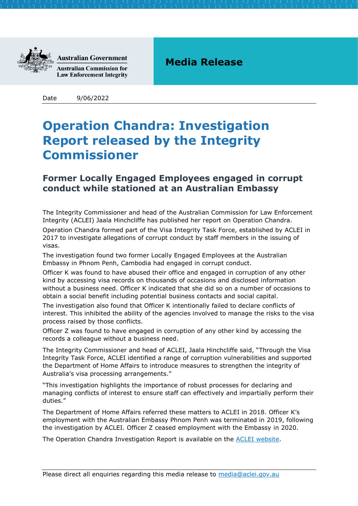

**Australian Government Australian Commission for** 

**Law Enforcement Integrity** 

## **Media Release**

Date 9/06/2022

## **Operation Chandra: Investigation Report released by the Integrity Commissioner**

## **Former Locally Engaged Employees engaged in corrupt conduct while stationed at an Australian Embassy**

The Integrity Commissioner and head of the Australian Commission for Law Enforcement Integrity (ACLEI) Jaala Hinchcliffe has published her report on Operation Chandra. Operation Chandra formed part of the Visa Integrity Task Force, established by ACLEI in 2017 to investigate allegations of corrupt conduct by staff members in the issuing of visas.

The investigation found two former Locally Engaged Employees at the Australian Embassy in Phnom Penh, Cambodia had engaged in corrupt conduct.

Officer K was found to have abused their office and engaged in corruption of any other kind by accessing visa records on thousands of occasions and disclosed information without a business need. Officer K indicated that she did so on a number of occasions to obtain a social benefit including potential business contacts and social capital.

The investigation also found that Officer K intentionally failed to declare conflicts of interest. This inhibited the ability of the agencies involved to manage the risks to the visa process raised by those conflicts.

Officer Z was found to have engaged in corruption of any other kind by accessing the records a colleague without a business need.

The Integrity Commissioner and head of ACLEI, Jaala Hinchcliffe said, "Through the Visa Integrity Task Force, ACLEI identified a range of corruption vulnerabilities and supported the Department of Home Affairs to introduce measures to strengthen the integrity of Australia's visa processing arrangements."

"This investigation highlights the importance of robust processes for declaring and managing conflicts of interest to ensure staff can effectively and impartially perform their duties."

The Department of Home Affairs referred these matters to ACLEI in 2018. Officer K's employment with the Australian Embassy Phnom Penh was terminated in 2019, following the investigation by ACLEI. Officer Z ceased employment with the Embassy in 2020.

The Operation Chandra Investigation Report is available on the [ACLEI website.](https://www.aclei.gov.au/reports/investigation-reports)